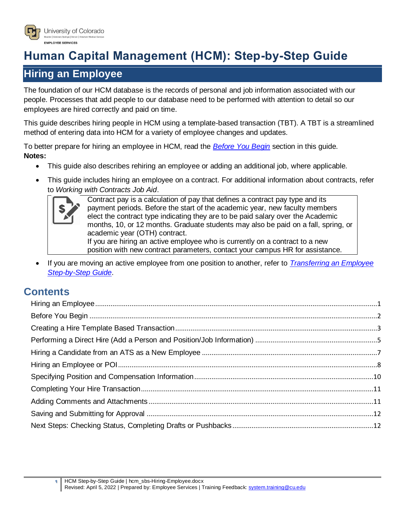

# **Human Capital Management (HCM): Step-by-Step Guide**

# <span id="page-0-0"></span>**Hiring an Employee**

The foundation of our HCM database is the records of personal and job information associated with our people. Processes that add people to our database need to be performed with attention to detail so our employees are hired correctly and paid on time.

This guide describes hiring people in HCM using a template-based transaction (TBT). A TBT is a streamlined method of entering data into HCM for a variety of employee changes and updates.

To better prepare for hiring an employee in HCM, read the *[Before You Begin](#page-1-0)* section in this guide. **Notes:**

- This guide also describes rehiring an employee or adding an additional job, where applicable.
- This guide includes hiring an employee on a contract. For additional information about contracts, refer to *Working with Contracts Job Aid*.



Contract pay is a calculation of pay that defines a contract pay type and its payment periods. Before the start of the academic year, new faculty members elect the contract type indicating they are to be paid salary over the Academic months, 10, or 12 months. Graduate students may also be paid on a fall, spring, or academic year (OTH) contract. If you are hiring an active employee who is currently on a contract to a new position with new contract parameters, contact your campus HR for assistance.

 If you are moving an active employee from one position to another, refer to *[Transferring an Employee](https://www.cu.edu/docs/sbs-transferring-employee)  [Step-by-Step Guide](https://www.cu.edu/docs/sbs-transferring-employee)*.

# **Contents**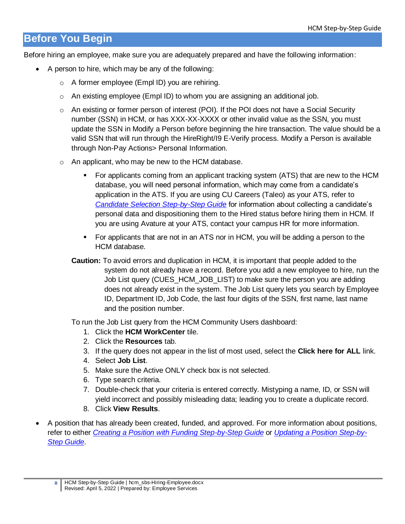# <span id="page-1-1"></span>**Before You Begin**

Before hiring an employee, make sure you are adequately prepared and have the following information:

- <span id="page-1-0"></span> A person to hire, which may be any of the following:
	- o A former employee (Empl ID) you are rehiring.
	- $\circ$  An existing employee (Empl ID) to whom you are assigning an additional job.
	- $\circ$  An existing or former person of interest (POI). If the POI does not have a Social Security number (SSN) in HCM, or has XXX-XX-XXXX or other invalid value as the SSN, you must update the SSN in Modify a Person before beginning the hire transaction. The value should be a valid SSN that will run through the HireRight/I9 E-Verify process. Modify a Person is available through Non-Pay Actions> Personal Information.
	- o An applicant, who may be new to the HCM database.
		- For applicants coming from an applicant tracking system (ATS) that are new to the HCM database, you will need personal information, which may come from a candidate's application in the ATS. If you are using CU Careers (Taleo) as your ATS, refer to *[Candidate Selection Step-by-Step Guide](https://www.cu.edu/docs/candidate-selection-0)* for information about collecting a candidate's personal data and dispositioning them to the Hired status before hiring them in HCM. If you are using Avature at your ATS, contact your campus HR for more information.
		- For applicants that are not in an ATS nor in HCM, you will be adding a person to the HCM database.
		- **Caution:** To avoid errors and duplication in HCM, it is important that people added to the system do not already have a record. Before you add a new employee to hire, run the Job List query (CUES\_HCM\_JOB\_LIST) to make sure the person you are adding does not already exist in the system. The Job List query lets you search by Employee ID, Department ID, Job Code, the last four digits of the SSN, first name, last name and the position number.

To run the Job List query from the HCM Community Users dashboard:

- 1. Click the **HCM WorkCenter** tile.
- 2. Click the **Resources** tab.
- 3. If the query does not appear in the list of most used, select the **Click here for ALL** link.
- 4. Select **Job List**.
- 5. Make sure the Active ONLY check box is not selected.
- 6. Type search criteria.
- 7. Double-check that your criteria is entered correctly. Mistyping a name, ID, or SSN will yield incorrect and possibly misleading data; leading you to create a duplicate record.
- 8. Click **View Results**.
- A position that has already been created, funded, and approved. For more information about positions, refer to either *[Creating a Position with Funding Step-by-Step Guide](https://www.cu.edu/docs/sbs-creating-position-funding)* or *[Updating a Position Step-by-](https://www.cu.edu/docs/sbs-updating-position)[Step Guide](https://www.cu.edu/docs/sbs-updating-position)*.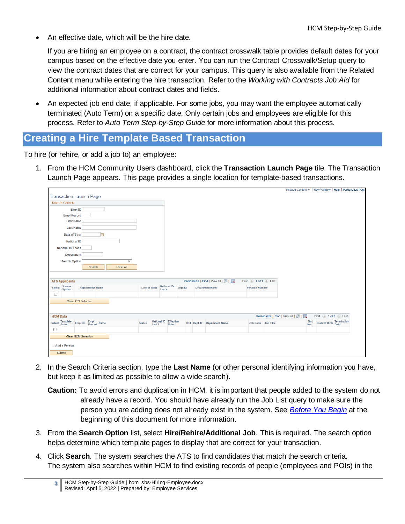An effective date, which will be the hire date.

If you are hiring an employee on a contract, the contract crosswalk table provides default dates for your campus based on the effective date you enter. You can run the Contract Crosswalk/Setup query to view the contract dates that are correct for your campus. This query is also available from the Related Content menu while entering the hire transaction. Refer to the *Working with Contracts Job Aid* for additional information about contract dates and fields.

 An expected job end date, if applicable. For some jobs, you may want the employee automatically terminated (Auto Term) on a specific date. Only certain jobs and employees are eligible for this process. Refer to *Auto Term Step-by-Step Guide* for more information about this process.

### <span id="page-2-0"></span>**Creating a Hire Template Based Transaction**

To hire (or rehire, or add a job to) an employee:

1. From the HCM Community Users dashboard, click the **Transaction Launch Page** tile. The Transaction Launch Page appears. This page provides a single location for template-based transactions.

|                                                                              |                         |                               |         |                                   |                        |                                   |             |                           | Related Content -   New Window   Help   Personalize Page |
|------------------------------------------------------------------------------|-------------------------|-------------------------------|---------|-----------------------------------|------------------------|-----------------------------------|-------------|---------------------------|----------------------------------------------------------|
| <b>Transaction Launch Page</b>                                               |                         |                               |         |                                   |                        |                                   |             |                           |                                                          |
| <b>Search Criteria</b>                                                       |                         |                               |         |                                   |                        |                                   |             |                           |                                                          |
| Empl ID                                                                      |                         |                               |         |                                   |                        |                                   |             |                           |                                                          |
| <b>Empl Record</b>                                                           |                         |                               |         |                                   |                        |                                   |             |                           |                                                          |
| <b>First Name</b>                                                            |                         |                               |         |                                   |                        |                                   |             |                           |                                                          |
| <b>Last Name</b>                                                             |                         |                               |         |                                   |                        |                                   |             |                           |                                                          |
| $\overline{\mathbf{31}}$<br>Date of Birth                                    |                         |                               |         |                                   |                        |                                   |             |                           |                                                          |
| <b>National ID</b>                                                           |                         |                               |         |                                   |                        |                                   |             |                           |                                                          |
| National ID Last 4                                                           |                         |                               |         |                                   |                        |                                   |             |                           |                                                          |
|                                                                              |                         |                               |         |                                   |                        |                                   |             |                           |                                                          |
| Department                                                                   |                         |                               |         |                                   |                        |                                   |             |                           |                                                          |
| *Search Option<br>$\checkmark$<br>Search<br>Clear All                        |                         |                               |         |                                   |                        |                                   |             |                           |                                                          |
|                                                                              |                         |                               |         |                                   |                        |                                   |             |                           |                                                          |
|                                                                              |                         |                               |         |                                   |                        |                                   |             |                           |                                                          |
| <b>ATS Applicants</b>                                                        |                         |                               |         | Personalize   Find   View All   2 | First 4 1 of 1 2 Last  |                                   |             |                           |                                                          |
| Source<br>Select<br><b>Applicant ID Name</b><br>System                       | Date of Birth           | <b>National ID</b><br>Last 4  | Dept ID | <b>Department Name</b>            | <b>Position Number</b> |                                   |             |                           |                                                          |
| $\Box$                                                                       |                         |                               |         |                                   |                        |                                   |             |                           |                                                          |
| <b>Clear ATS Selection</b>                                                   |                         |                               |         |                                   |                        |                                   |             |                           |                                                          |
|                                                                              |                         |                               |         |                                   |                        |                                   |             |                           |                                                          |
| <b>HCM Data</b>                                                              |                         |                               |         |                                   |                        | Personalize   Find   View All   2 |             | First 1 of 1 D Last       |                                                          |
| <b>Template</b><br><b>Action</b><br>Empl<br>Record Name<br>Select<br>Empl ID | <b>Status</b><br>Last 4 | National ID Effective<br>Date |         | Unit Dept ID Department Name      | Job Code Job Title     |                                   | Stnd<br>Hrs | Date of Birth Termination |                                                          |
| $\Box$                                                                       |                         |                               |         |                                   |                        |                                   |             |                           |                                                          |
| Clear HCM Selection                                                          |                         |                               |         |                                   |                        |                                   |             |                           |                                                          |
|                                                                              |                         |                               |         |                                   |                        |                                   |             |                           |                                                          |
| Add a Person                                                                 |                         |                               |         |                                   |                        |                                   |             |                           |                                                          |
| Submit                                                                       |                         |                               |         |                                   |                        |                                   |             |                           |                                                          |

- 2. In the Search Criteria section, type the **Last Name** (or other personal identifying information you have, but keep it as limited as possible to allow a wide search).
	- **Caution:** To avoid errors and duplication in HCM, it is important that people added to the system do not already have a record. You should have already run the Job List query to make sure the person you are adding does not already exist in the system. See *[Before You Begin](#page-1-0)* at the beginning of this document for more information.
- 3. From the **Search Option** list, select **Hire/Rehire/Additional Job**. This is required. The search option helps determine which template pages to display that are correct for your transaction.
- 4. Click **Search**. The system searches the ATS to find candidates that match the search criteria. The system also searches within HCM to find existing records of people (employees and POIs) in the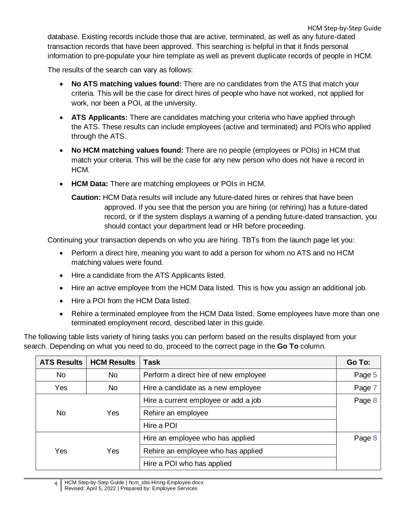database. Existing records include those that are active, terminated, as well as any future-dated transaction records that have been approved. This searching is helpful in that it finds personal information to pre-populate your hire template as well as prevent duplicate records of people in HCM.

The results of the search can vary as follows:

- **No ATS matching values found:** There are no candidates from the ATS that match your criteria. This will be the case for direct hires of people who have not worked, not applied for work, nor been a POI, at the university.
- **ATS Applicants:** There are candidates matching your criteria who have applied through the ATS. These results can include employees (active and terminated) and POIs who applied through the ATS.
- **No HCM matching values found:** There are no people (employees or POIs) in HCM that match your criteria. This will be the case for any new person who does not have a record in HCM.
- **HCM Data:** There are matching employees or POIs in HCM.

**Caution:** HCM Data results will include any future-dated hires or rehires that have been approved. If you see that the person you are hiring (or rehiring) has a future-dated record, or if the system displays a warning of a pending future-dated transaction, you should contact your department lead or HR before proceeding.

Continuing your transaction depends on who you are hiring. TBTs from the launch page let you:

- Perform a direct hire, meaning you want to add a person for whom no ATS and no HCM matching values were found.
- Hire a candidate from the ATS Applicants listed.
- Hire an active employee from the HCM Data listed. This is how you assign an additional job.
- Hire a POI from the HCM Data listed.
- Rehire a terminated employee from the HCM Data listed. Some employees have more than one terminated employment record, described later in this guide.

The following table lists variety of hiring tasks you can perform based on the results displayed from your search. Depending on what you need to do, proceed to the correct page in the **Go To** column.

| <b>ATS Results</b> | <b>HCM Results</b> | <b>Task</b>                           | Go To: |
|--------------------|--------------------|---------------------------------------|--------|
| <b>No</b>          | <b>No</b>          | Perform a direct hire of new employee | Page 5 |
| Yes                | No                 | Hire a candidate as a new employee    | Page 7 |
|                    |                    | Hire a current employee or add a job  | Page 8 |
| <b>No</b>          | Yes                | Rehire an employee                    |        |
|                    |                    | Hire a POI                            |        |
|                    |                    | Hire an employee who has applied      | Page 8 |
| Yes                | Yes                | Rehire an employee who has applied    |        |
|                    |                    | Hire a POI who has applied            |        |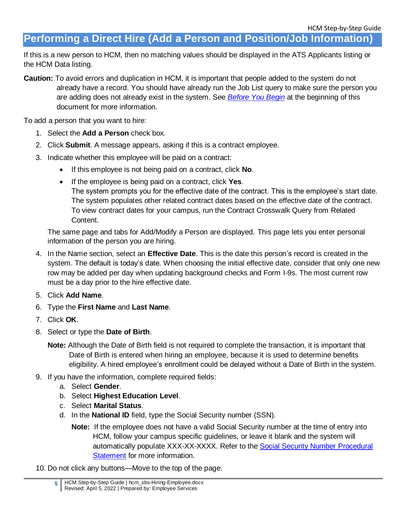<span id="page-4-0"></span>**Performing a Direct Hire (Add a Person and Position/Job Information)**

If this is a new person to HCM, then no matching values should be displayed in the ATS Applicants listing or the HCM Data listing.

**Caution:** To avoid errors and duplication in HCM, it is important that people added to the system do not already have a record. You should have already run the Job List query to make sure the person you are adding does not already exist in the system. See *[Before You Begin](#page-1-0)* at the beginning of this document for more information.

To add a person that you want to hire:

- 1. Select the **Add a Person** check box.
- 2. Click **Submit**. A message appears, asking if this is a contract employee.
- 3. Indicate whether this employee will be paid on a contract:
	- If this employee is not being paid on a contract, click **No**.
	- If the employee is being paid on a contract, click **Yes**.
		- The system prompts you for the effective date of the contract. This is the employee's start date. The system populates other related contract dates based on the effective date of the contract. To view contract dates for your campus, run the Contract Crosswalk Query from Related Content.

The same page and tabs for Add/Modify a Person are displayed. This page lets you enter personal information of the person you are hiring.

- 4. In the Name section, select an **Effective Date**. This is the date this person's record is created in the system. The default is today's date. When choosing the initial effective date, consider that only one new row may be added per day when updating background checks and Form I-9s. The most current row must be a day prior to the hire effective date.
- 5. Click **Add Name**.
- 6. Type the **First Name** and **Last Name**.
- 7. Click **OK**.
- 8. Select or type the **Date of Birth**.
	- **Note:** Although the Date of Birth field is not required to complete the transaction, it is important that Date of Birth is entered when hiring an employee, because it is used to determine benefits eligibility. A hired employee's enrollment could be delayed without a Date of Birth in the system.
- 9. If you have the information, complete required fields:
	- a. Select **Gender**.
	- b. Select **Highest Education Level**.
	- c. Select **Marital Status**.
	- d. In the **National ID** field, type the Social Security number (SSN).
		- **Note:** If the employee does not have a valid Social Security number at the time of entry into HCM, follow your campus specific guidelines, or leave it blank and the system will automatically populate XXX-XX-XXXX. Refer to the Social Security Number Procedural [Statement](https://www.cu.edu/employee-services/social-security-number-verification-use) for more information.
- 10. Do not click any buttons—Move to the top of the page.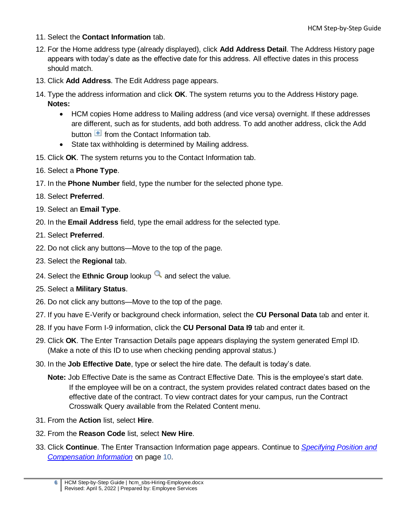- 11. Select the **Contact Information** tab.
- 12. For the Home address type (already displayed), click **Add Address Detail**. The Address History page appears with today's date as the effective date for this address. All effective dates in this process should match.
- 13. Click **Add Address**. The Edit Address page appears.
- 14. Type the address information and click **OK**. The system returns you to the Address History page. **Notes:** 
	- HCM copies Home address to Mailing address (and vice versa) overnight. If these addresses are different, such as for students, add both address. To add another address, click the Add button  $\blacksquare$  from the Contact Information tab.
	- State tax withholding is determined by Mailing address.
- 15. Click **OK**. The system returns you to the Contact Information tab.
- 16. Select a **Phone Type**.
- 17. In the **Phone Number** field, type the number for the selected phone type.
- 18. Select **Preferred**.
- 19. Select an **Email Type**.
- 20. In the **Email Address** field, type the email address for the selected type.
- 21. Select **Preferred**.
- 22. Do not click any buttons—Move to the top of the page.
- 23. Select the **Regional** tab.
- 24. Select the **Ethnic Group** lookup **a** and select the value.
- 25. Select a **Military Status**.
- 26. Do not click any buttons—Move to the top of the page.
- 27. If you have E-Verify or background check information, select the **CU Personal Data** tab and enter it.
- 28. If you have Form I-9 information, click the **CU Personal Data I9** tab and enter it.
- 29. Click **OK**. The Enter Transaction Details page appears displaying the system generated Empl ID. (Make a note of this ID to use when checking pending approval status.)
- 30. In the **Job Effective Date**, type or select the hire date. The default is today's date.
	- **Note:** Job Effective Date is the same as Contract Effective Date. This is the employee's start date. If the employee will be on a contract, the system provides related contract dates based on the effective date of the contract. To view contract dates for your campus, run the Contract Crosswalk Query available from the Related Content menu.
- 31. From the **Action** list, select **Hire**.
- 32. From the **Reason Code** list, select **New Hire**.
- 33. Click **Continue**. The Enter Transaction Information page appears. Continue to *[Specifying Position and](#page-9-1)  [Compensation Information](#page-9-1)* on page [10.](#page-9-1)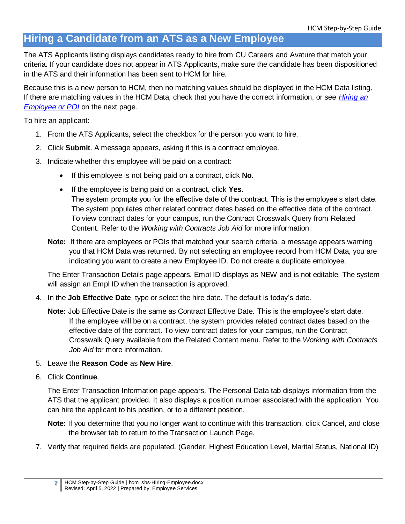# <span id="page-6-0"></span>**Hiring a Candidate from an ATS as a New Employee**

The ATS Applicants listing displays candidates ready to hire from CU Careers and Avature that match your criteria. If your candidate does not appear in ATS Applicants, make sure the candidate has been dispositioned in the ATS and their information has been sent to HCM for hire.

Because this is a new person to HCM, then no matching values should be displayed in the HCM Data listing. If there are matching values in the HCM Data, check that you have the correct information, or see *[Hiring an](#page-7-0)  [Employee or POI](#page-7-0)* on the next page.

To hire an applicant:

- 1. From the ATS Applicants, select the checkbox for the person you want to hire.
- 2. Click **Submit**. A message appears, asking if this is a contract employee.
- 3. Indicate whether this employee will be paid on a contract:
	- If this employee is not being paid on a contract, click **No**.
	- If the employee is being paid on a contract, click **Yes**. The system prompts you for the effective date of the contract. This is the employee's start date. The system populates other related contract dates based on the effective date of the contract. To view contract dates for your campus, run the Contract Crosswalk Query from Related Content. Refer to the *Working with Contracts Job Aid* for more information.
	- **Note:** If there are employees or POIs that matched your search criteria, a message appears warning you that HCM Data was returned. By not selecting an employee record from HCM Data, you are indicating you want to create a new Employee ID. Do not create a duplicate employee.

The Enter Transaction Details page appears. Empl ID displays as NEW and is not editable. The system will assign an Empl ID when the transaction is approved.

- 4. In the **Job Effective Date**, type or select the hire date. The default is today's date.
	- **Note:** Job Effective Date is the same as Contract Effective Date. This is the employee's start date. If the employee will be on a contract, the system provides related contract dates based on the effective date of the contract. To view contract dates for your campus, run the Contract Crosswalk Query available from the Related Content menu. Refer to the *Working with Contracts Job Aid* for more information.
- 5. Leave the **Reason Code** as **New Hire**.
- 6. Click **Continue**.

The Enter Transaction Information page appears. The Personal Data tab displays information from the ATS that the applicant provided. It also displays a position number associated with the application. You can hire the applicant to his position, or to a different position.

**Note:** If you determine that you no longer want to continue with this transaction, click Cancel, and close the browser tab to return to the Transaction Launch Page.

7. Verify that required fields are populated. (Gender, Highest Education Level, Marital Status, National ID)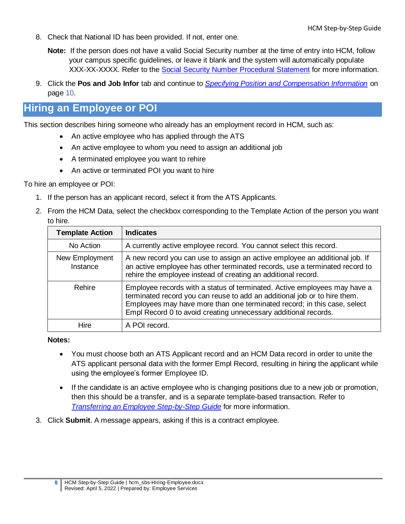- 8. Check that National ID has been provided. If not, enter one.
	- **Note:** If the person does not have a valid Social Security number at the time of entry into HCM, follow your campus specific guidelines, or leave it blank and the system will automatically populate XXX-XX-XXXX. Refer to the [Social Security Number Procedural Statement](https://www.cu.edu/employee-services/social-security-number-verification-use) for more information.
- 9. Click the **Pos and Job Infor** tab and continue to *[Specifying Position and Compensation Information](#page-9-1)* on page [10.](#page-9-1)

# <span id="page-7-0"></span>**Hiring an Employee or POI**

This section describes hiring someone who already has an employment record in HCM, such as:

- An active employee who has applied through the ATS
- An active employee to whom you need to assign an additional job
- A terminated employee you want to rehire
- An active or terminated POI you want to hire

To hire an employee or POI:

- 1. If the person has an applicant record, select it from the ATS Applicants.
- 2. From the HCM Data, select the checkbox corresponding to the Template Action of the person you want to hire.

| <b>Template Action</b>     | <b>Indicates</b>                                                                                                                                                                                                                                                                                      |
|----------------------------|-------------------------------------------------------------------------------------------------------------------------------------------------------------------------------------------------------------------------------------------------------------------------------------------------------|
| No Action                  | A currently active employee record. You cannot select this record.                                                                                                                                                                                                                                    |
| New Employment<br>Instance | A new record you can use to assign an active employee an additional job. If<br>an active employee has other terminated records, use a terminated record to<br>rehire the employee instead of creating an additional record.                                                                           |
| Rehire                     | Employee records with a status of terminated. Active employees may have a<br>terminated record you can reuse to add an additional job or to hire them.<br>Employees may have more than one terminated record; in this case, select<br>Empl Record 0 to avoid creating unnecessary additional records. |
| Hire                       | A POI record.                                                                                                                                                                                                                                                                                         |

#### **Notes:**

- You must choose both an ATS Applicant record and an HCM Data record in order to unite the ATS applicant personal data with the former Empl Record, resulting in hiring the applicant while using the employee's former Employee ID.
- If the candidate is an active employee who is changing positions due to a new job or promotion, then this should be a transfer, and is a separate template-based transaction. Refer to *[Transferring an Employee Step-by-Step Guide](https://www.cu.edu/docs/sbs-transferring-employee)* for more information.
- 3. Click **Submit**. A message appears, asking if this is a contract employee.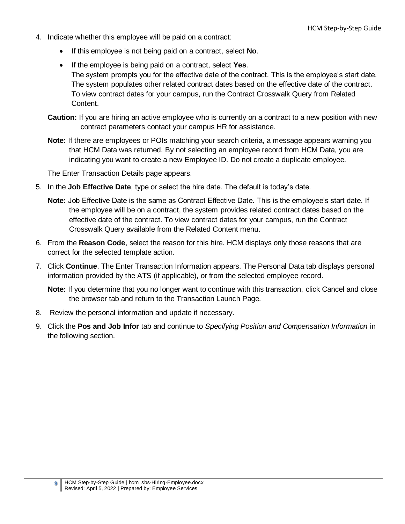- 4. Indicate whether this employee will be paid on a contract:
	- If this employee is not being paid on a contract, select **No**.
	- If the employee is being paid on a contract, select **Yes**. The system prompts you for the effective date of the contract. This is the employee's start date. The system populates other related contract dates based on the effective date of the contract. To view contract dates for your campus, run the Contract Crosswalk Query from Related Content.
	- **Caution:** If you are hiring an active employee who is currently on a contract to a new position with new contract parameters contact your campus HR for assistance.
	- **Note:** If there are employees or POIs matching your search criteria, a message appears warning you that HCM Data was returned. By not selecting an employee record from HCM Data, you are indicating you want to create a new Employee ID. Do not create a duplicate employee.

The Enter Transaction Details page appears.

- 5. In the **Job Effective Date**, type or select the hire date. The default is today's date.
	- **Note:** Job Effective Date is the same as Contract Effective Date. This is the employee's start date. If the employee will be on a contract, the system provides related contract dates based on the effective date of the contract. To view contract dates for your campus, run the Contract Crosswalk Query available from the Related Content menu.
- 6. From the **Reason Code**, select the reason for this hire. HCM displays only those reasons that are correct for the selected template action.
- 7. Click **Continue**. The Enter Transaction Information appears. The Personal Data tab displays personal information provided by the ATS (if applicable), or from the selected employee record.

**Note:** If you determine that you no longer want to continue with this transaction, click Cancel and close the browser tab and return to the Transaction Launch Page.

- 8. Review the personal information and update if necessary.
- 9. Click the **Pos and Job Infor** tab and continue to *Specifying Position and Compensation Information* in the following section.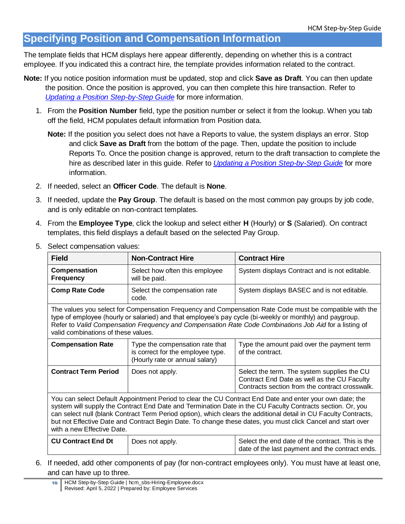### <span id="page-9-0"></span>**Specifying Position and Compensation Information**

The template fields that HCM displays here appear differently, depending on whether this is a contract employee. If you indicated this a contract hire, the template provides information related to the contract.

- **Note:** If you notice position information must be updated, stop and click **Save as Draft**. You can then update the position. Once the position is approved, you can then complete this hire transaction. Refer to *[Updating a Position Step-by-Step Guide](https://www.cu.edu/docs/sbs-updating-position)* for more information.
	- 1. From the **Position Number** field, type the position number or select it from the lookup. When you tab off the field, HCM populates default information from Position data.

<span id="page-9-1"></span>**Note:** If the position you select does not have a Reports to value, the system displays an error. Stop and click **Save as Draft** from the bottom of the page. Then, update the position to include Reports To. Once the position change is approved, return to the draft transaction to complete the hire as described later in this guide. Refer to *[Updating a Position Step-by-Step Guide](https://www.cu.edu/docs/sbs-updating-position)* for more information.

- 2. If needed, select an **Officer Code**. The default is **None**.
- 3. If needed, update the **Pay Group**. The default is based on the most common pay groups by job code, and is only editable on non-contract templates.
- 4. From the **Employee Type**, click the lookup and select either **H** (Hourly) or **S** (Salaried). On contract templates, this field displays a default based on the selected Pay Group.
	- **Field Non-Contract Hire Contract Hire Compensation Frequency** Select how often this employee will be paid. System displays Contract and is not editable. **Comp Rate Code** Select the compensation rate code. System displays BASEC and is not editable. The values you select for Compensation Frequency and Compensation Rate Code must be compatible with the type of employee (hourly or salaried) and that employee's pay cycle (bi-weekly or monthly) and paygroup. Refer to *[Valid Compensation Frequency and Compensation Rate Code Combinations Job](https://www.cu.edu/docs/jaid-Valid-Comp-Freq-Comp-Rate-Combinations) Aid* for a listing of valid combinations of these values. **Compensation Rate** | Type the compensation rate that is correct for the employee type. (Hourly rate or annual salary) Type the amount paid over the payment term of the contract. **Contract Term Period** Does not apply. Select the term. The system supplies the CU Contract End Date as well as the CU Faculty Contracts section from the contract crosswalk. You can select Default Appointment Period to clear the CU Contract End Date and enter your own date; the system will supply the Contract End Date and Termination Date in the CU Faculty Contracts section. Or, you can select null (blank Contract Term Period option), which clears the additional detail in CU Faculty Contracts, but not Effective Date and Contract Begin Date. To change these dates, you must click Cancel and start over with a new Effective Date. **CU Contract End Dt** Does not apply. Select the end date of the contract. This is the date of the last payment and the contract ends.
- 5. Select compensation values:

6. If needed, add other components of pay (for non-contract employees only). You must have at least one, and can have up to three.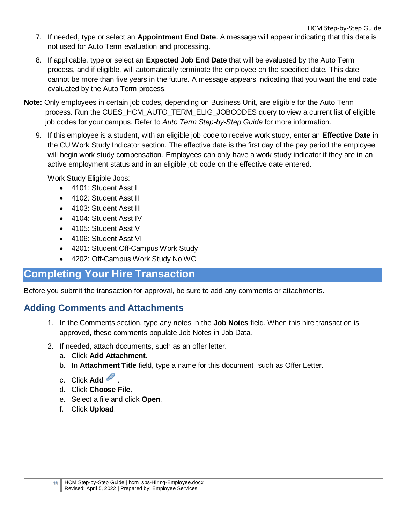- 7. If needed, type or select an **Appointment End Date**. A message will appear indicating that this date is not used for Auto Term evaluation and processing.
- 8. If applicable, type or select an **Expected Job End Date** that will be evaluated by the Auto Term process, and if eligible, will automatically terminate the employee on the specified date. This date cannot be more than five years in the future. A message appears indicating that you want the end date evaluated by the Auto Term process.
- **Note:** Only employees in certain job codes, depending on Business Unit, are eligible for the Auto Term process. Run the CUES\_HCM\_AUTO\_TERM\_ELIG\_JOBCODES query to view a current list of eligible job codes for your campus. Refer to *Auto Term Step-by-Step Guide* for more information.
	- 9. If this employee is a student, with an eligible job code to receive work study, enter an **Effective Date** in the CU Work Study Indicator section. The effective date is the first day of the pay period the employee will begin work study compensation. Employees can only have a work study indicator if they are in an active employment status and in an eligible job code on the effective date entered.

Work Study Eligible Jobs:

- 4101: Student Asst I
- 4102: Student Asst II
- 4103: Student Asst III
- 4104: Student Asst IV
- 4105: Student Asst V
- 4106: Student Asst VI
- 4201: Student Off-Campus Work Study
- 4202: Off-Campus Work Study No WC

### <span id="page-10-0"></span>**Completing Your Hire Transaction**

Before you submit the transaction for approval, be sure to add any comments or attachments.

### <span id="page-10-1"></span>**Adding Comments and Attachments**

- 1. In the Comments section, type any notes in the **Job Notes** field. When this hire transaction is approved, these comments populate Job Notes in Job Data.
- 2. If needed, attach documents, such as an offer letter.
	- a. Click **Add Attachment**.
	- b. In **Attachment Title** field, type a name for this document, such as Offer Letter.
	- c. Click **Add** .
	- d. Click **Choose File**.
	- e. Select a file and click **Open**.
	- f. Click **Upload**.